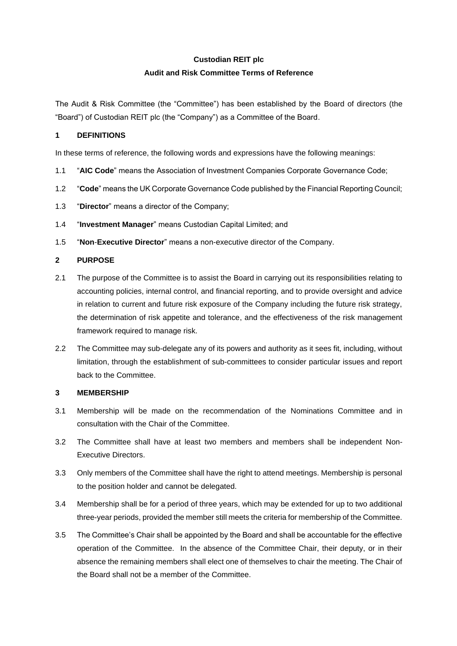# **Custodian REIT plc Audit and Risk Committee Terms of Reference**

The Audit & Risk Committee (the "Committee") has been established by the Board of directors (the "Board") of Custodian REIT plc (the "Company") as a Committee of the Board.

# **1 DEFINITIONS**

In these terms of reference, the following words and expressions have the following meanings:

- 1.1 "**AIC Code**" means the Association of Investment Companies Corporate Governance Code;
- 1.2 "**Code**" means the UK Corporate Governance Code published by the Financial Reporting Council;
- 1.3 "**Director**" means a director of the Company;
- 1.4 "**Investment Manager**" means Custodian Capital Limited; and
- 1.5 "**Non**-**Executive Director**" means a non-executive director of the Company.

# **2 PURPOSE**

- 2.1 The purpose of the Committee is to assist the Board in carrying out its responsibilities relating to accounting policies, internal control, and financial reporting, and to provide oversight and advice in relation to current and future risk exposure of the Company including the future risk strategy, the determination of risk appetite and tolerance, and the effectiveness of the risk management framework required to manage risk.
- 2.2 The Committee may sub-delegate any of its powers and authority as it sees fit, including, without limitation, through the establishment of sub-committees to consider particular issues and report back to the Committee.

# **3 MEMBERSHIP**

- 3.1 Membership will be made on the recommendation of the Nominations Committee and in consultation with the Chair of the Committee.
- 3.2 The Committee shall have at least two members and members shall be independent Non-Executive Directors.
- 3.3 Only members of the Committee shall have the right to attend meetings. Membership is personal to the position holder and cannot be delegated.
- 3.4 Membership shall be for a period of three years, which may be extended for up to two additional three-year periods, provided the member still meets the criteria for membership of the Committee.
- 3.5 The Committee's Chair shall be appointed by the Board and shall be accountable for the effective operation of the Committee. In the absence of the Committee Chair, their deputy, or in their absence the remaining members shall elect one of themselves to chair the meeting. The Chair of the Board shall not be a member of the Committee.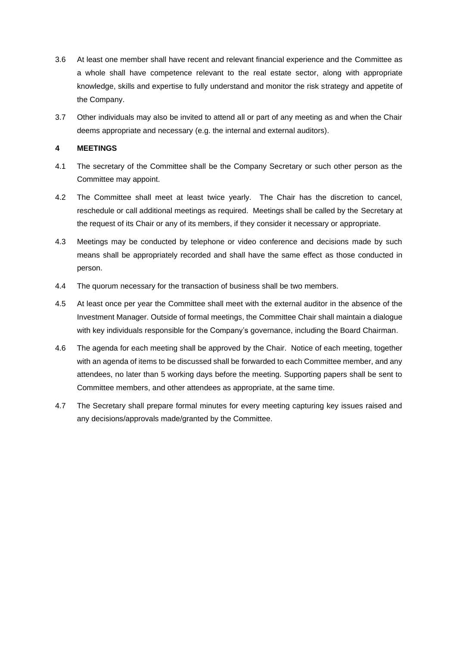- 3.6 At least one member shall have recent and relevant financial experience and the Committee as a whole shall have competence relevant to the real estate sector, along with appropriate knowledge, skills and expertise to fully understand and monitor the risk strategy and appetite of the Company.
- 3.7 Other individuals may also be invited to attend all or part of any meeting as and when the Chair deems appropriate and necessary (e.g. the internal and external auditors).

# **4 MEETINGS**

- 4.1 The secretary of the Committee shall be the Company Secretary or such other person as the Committee may appoint.
- 4.2 The Committee shall meet at least twice yearly. The Chair has the discretion to cancel, reschedule or call additional meetings as required. Meetings shall be called by the Secretary at the request of its Chair or any of its members, if they consider it necessary or appropriate.
- 4.3 Meetings may be conducted by telephone or video conference and decisions made by such means shall be appropriately recorded and shall have the same effect as those conducted in person.
- 4.4 The quorum necessary for the transaction of business shall be two members.
- 4.5 At least once per year the Committee shall meet with the external auditor in the absence of the Investment Manager. Outside of formal meetings, the Committee Chair shall maintain a dialogue with key individuals responsible for the Company's governance, including the Board Chairman.
- 4.6 The agenda for each meeting shall be approved by the Chair. Notice of each meeting, together with an agenda of items to be discussed shall be forwarded to each Committee member, and any attendees, no later than 5 working days before the meeting. Supporting papers shall be sent to Committee members, and other attendees as appropriate, at the same time.
- 4.7 The Secretary shall prepare formal minutes for every meeting capturing key issues raised and any decisions/approvals made/granted by the Committee.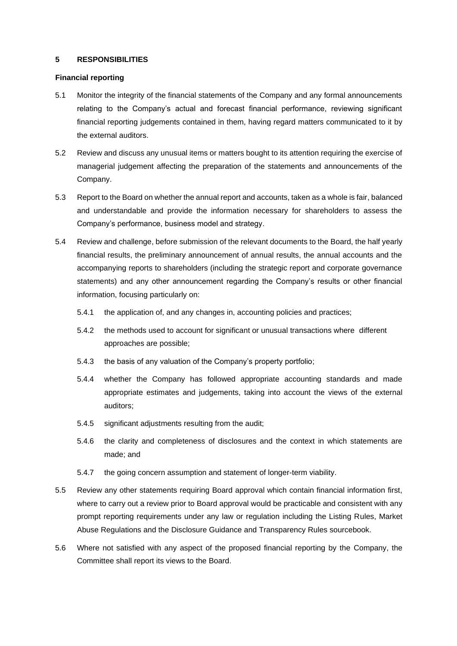# **5 RESPONSIBILITIES**

#### **Financial reporting**

- 5.1 Monitor the integrity of the financial statements of the Company and any formal announcements relating to the Company's actual and forecast financial performance, reviewing significant financial reporting judgements contained in them, having regard matters communicated to it by the external auditors.
- 5.2 Review and discuss any unusual items or matters bought to its attention requiring the exercise of managerial judgement affecting the preparation of the statements and announcements of the Company.
- 5.3 Report to the Board on whether the annual report and accounts, taken as a whole is fair, balanced and understandable and provide the information necessary for shareholders to assess the Company's performance, business model and strategy.
- 5.4 Review and challenge, before submission of the relevant documents to the Board, the half yearly financial results, the preliminary announcement of annual results, the annual accounts and the accompanying reports to shareholders (including the strategic report and corporate governance statements) and any other announcement regarding the Company's results or other financial information, focusing particularly on:
	- 5.4.1 the application of, and any changes in, accounting policies and practices;
	- 5.4.2 the methods used to account for significant or unusual transactions where different approaches are possible;
	- 5.4.3 the basis of any valuation of the Company's property portfolio;
	- 5.4.4 whether the Company has followed appropriate accounting standards and made appropriate estimates and judgements, taking into account the views of the external auditors;
	- 5.4.5 significant adjustments resulting from the audit;
	- 5.4.6 the clarity and completeness of disclosures and the context in which statements are made; and
	- 5.4.7 the going concern assumption and statement of longer-term viability.
- 5.5 Review any other statements requiring Board approval which contain financial information first, where to carry out a review prior to Board approval would be practicable and consistent with any prompt reporting requirements under any law or regulation including the Listing Rules, Market Abuse Regulations and the Disclosure Guidance and Transparency Rules sourcebook.
- 5.6 Where not satisfied with any aspect of the proposed financial reporting by the Company, the Committee shall report its views to the Board.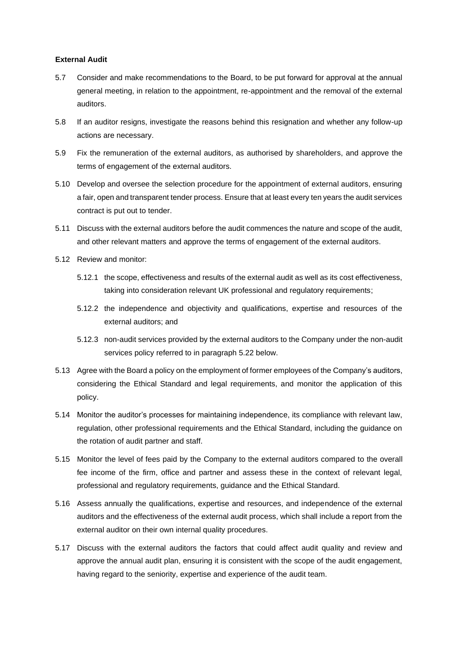#### **External Audit**

- 5.7 Consider and make recommendations to the Board, to be put forward for approval at the annual general meeting, in relation to the appointment, re-appointment and the removal of the external auditors.
- 5.8 If an auditor resigns, investigate the reasons behind this resignation and whether any follow-up actions are necessary.
- 5.9 Fix the remuneration of the external auditors, as authorised by shareholders, and approve the terms of engagement of the external auditors.
- 5.10 Develop and oversee the selection procedure for the appointment of external auditors, ensuring a fair, open and transparent tender process. Ensure that at least every ten years the audit services contract is put out to tender.
- 5.11 Discuss with the external auditors before the audit commences the nature and scope of the audit, and other relevant matters and approve the terms of engagement of the external auditors.
- 5.12 Review and monitor:
	- 5.12.1 the scope, effectiveness and results of the external audit as well as its cost effectiveness, taking into consideration relevant UK professional and regulatory requirements;
	- 5.12.2 the independence and objectivity and qualifications, expertise and resources of the external auditors; and
	- 5.12.3 non-audit services provided by the external auditors to the Company under the non-audit services policy referred to in paragraph 5.22 below.
- 5.13 Agree with the Board a policy on the employment of former employees of the Company's auditors, considering the Ethical Standard and legal requirements, and monitor the application of this policy.
- 5.14 Monitor the auditor's processes for maintaining independence, its compliance with relevant law, regulation, other professional requirements and the Ethical Standard, including the guidance on the rotation of audit partner and staff.
- 5.15 Monitor the level of fees paid by the Company to the external auditors compared to the overall fee income of the firm, office and partner and assess these in the context of relevant legal, professional and regulatory requirements, guidance and the Ethical Standard.
- 5.16 Assess annually the qualifications, expertise and resources, and independence of the external auditors and the effectiveness of the external audit process, which shall include a report from the external auditor on their own internal quality procedures.
- 5.17 Discuss with the external auditors the factors that could affect audit quality and review and approve the annual audit plan, ensuring it is consistent with the scope of the audit engagement, having regard to the seniority, expertise and experience of the audit team.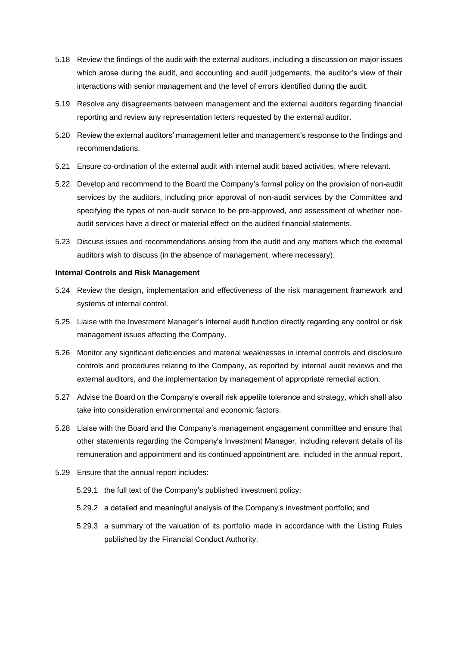- 5.18 Review the findings of the audit with the external auditors, including a discussion on major issues which arose during the audit, and accounting and audit judgements, the auditor's view of their interactions with senior management and the level of errors identified during the audit.
- 5.19 Resolve any disagreements between management and the external auditors regarding financial reporting and review any representation letters requested by the external auditor.
- 5.20 Review the external auditors' management letter and management's response to the findings and recommendations.
- 5.21 Ensure co-ordination of the external audit with internal audit based activities, where relevant.
- 5.22 Develop and recommend to the Board the Company's formal policy on the provision of non-audit services by the auditors, including prior approval of non-audit services by the Committee and specifying the types of non-audit service to be pre-approved, and assessment of whether nonaudit services have a direct or material effect on the audited financial statements.
- 5.23 Discuss issues and recommendations arising from the audit and any matters which the external auditors wish to discuss (in the absence of management, where necessary).

#### **Internal Controls and Risk Management**

- 5.24 Review the design, implementation and effectiveness of the risk management framework and systems of internal control.
- 5.25 Liaise with the Investment Manager's internal audit function directly regarding any control or risk management issues affecting the Company.
- 5.26 Monitor any significant deficiencies and material weaknesses in internal controls and disclosure controls and procedures relating to the Company, as reported by internal audit reviews and the external auditors, and the implementation by management of appropriate remedial action.
- 5.27 Advise the Board on the Company's overall risk appetite tolerance and strategy, which shall also take into consideration environmental and economic factors.
- 5.28 Liaise with the Board and the Company's management engagement committee and ensure that other statements regarding the Company's Investment Manager, including relevant details of its remuneration and appointment and its continued appointment are, included in the annual report.
- 5.29 Ensure that the annual report includes:
	- 5.29.1 the full text of the Company's published investment policy;
	- 5.29.2 a detailed and meaningful analysis of the Company's investment portfolio; and
	- 5.29.3 a summary of the valuation of its portfolio made in accordance with the Listing Rules published by the Financial Conduct Authority.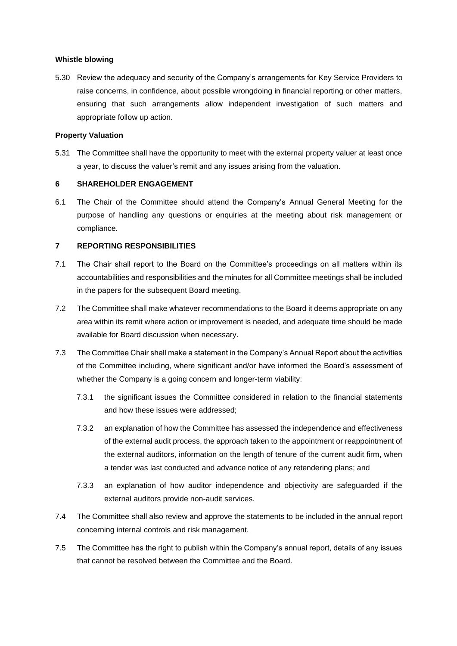#### **Whistle blowing**

5.30 Review the adequacy and security of the Company's arrangements for Key Service Providers to raise concerns, in confidence, about possible wrongdoing in financial reporting or other matters, ensuring that such arrangements allow independent investigation of such matters and appropriate follow up action.

#### **Property Valuation**

5.31 The Committee shall have the opportunity to meet with the external property valuer at least once a year, to discuss the valuer's remit and any issues arising from the valuation.

#### **6 SHAREHOLDER ENGAGEMENT**

6.1 The Chair of the Committee should attend the Company's Annual General Meeting for the purpose of handling any questions or enquiries at the meeting about risk management or compliance.

#### **7 REPORTING RESPONSIBILITIES**

- 7.1 The Chair shall report to the Board on the Committee's proceedings on all matters within its accountabilities and responsibilities and the minutes for all Committee meetings shall be included in the papers for the subsequent Board meeting.
- 7.2 The Committee shall make whatever recommendations to the Board it deems appropriate on any area within its remit where action or improvement is needed, and adequate time should be made available for Board discussion when necessary.
- 7.3 The Committee Chair shall make a statement in the Company's Annual Report about the activities of the Committee including, where significant and/or have informed the Board's assessment of whether the Company is a going concern and longer-term viability:
	- 7.3.1 the significant issues the Committee considered in relation to the financial statements and how these issues were addressed;
	- 7.3.2 an explanation of how the Committee has assessed the independence and effectiveness of the external audit process, the approach taken to the appointment or reappointment of the external auditors, information on the length of tenure of the current audit firm, when a tender was last conducted and advance notice of any retendering plans; and
	- 7.3.3 an explanation of how auditor independence and objectivity are safeguarded if the external auditors provide non-audit services.
- 7.4 The Committee shall also review and approve the statements to be included in the annual report concerning internal controls and risk management.
- 7.5 The Committee has the right to publish within the Company's annual report, details of any issues that cannot be resolved between the Committee and the Board.